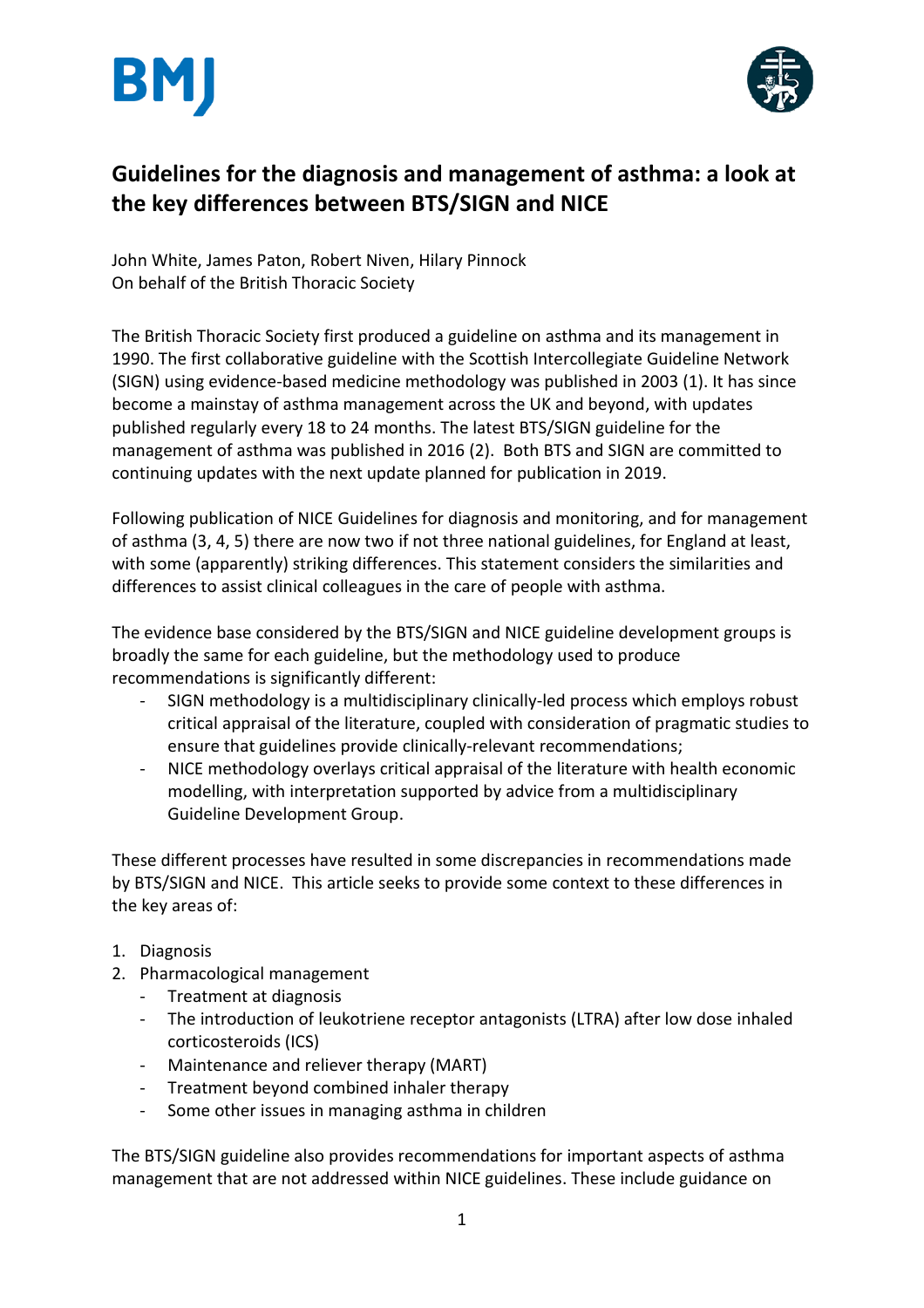



# **Guidelines for the diagnosis and management of asthma: a look at the key differences between BTS/SIGN and NICE**

John White, James Paton, Robert Niven, Hilary Pinnock On behalf of the British Thoracic Society

The British Thoracic Society first produced a guideline on asthma and its management in 1990. The first collaborative guideline with the Scottish Intercollegiate Guideline Network (SIGN) using evidence-based medicine methodology was published in 2003 (1). It has since become a mainstay of asthma management across the UK and beyond, with updates published regularly every 18 to 24 months. The latest BTS/SIGN guideline for the management of asthma was published in 2016 (2). Both BTS and SIGN are committed to continuing updates with the next update planned for publication in 2019.

Following publication of NICE Guidelines for diagnosis and monitoring, and for management of asthma (3, 4, 5) there are now two if not three national guidelines, for England at least, with some (apparently) striking differences. This statement considers the similarities and differences to assist clinical colleagues in the care of people with asthma.

The evidence base considered by the BTS/SIGN and NICE guideline development groups is broadly the same for each guideline, but the methodology used to produce recommendations is significantly different:

- SIGN methodology is a multidisciplinary clinically-led process which employs robust critical appraisal of the literature, coupled with consideration of pragmatic studies to ensure that guidelines provide clinically-relevant recommendations;
- NICE methodology overlays critical appraisal of the literature with health economic modelling, with interpretation supported by advice from a multidisciplinary Guideline Development Group.

These different processes have resulted in some discrepancies in recommendations made by BTS/SIGN and NICE. This article seeks to provide some context to these differences in the key areas of:

- 1. Diagnosis
- 2. Pharmacological management
	- Treatment at diagnosis
	- The introduction of leukotriene receptor antagonists (LTRA) after low dose inhaled corticosteroids (ICS)
	- Maintenance and reliever therapy (MART)
	- Treatment beyond combined inhaler therapy
	- Some other issues in managing asthma in children

The BTS/SIGN guideline also provides recommendations for important aspects of asthma management that are not addressed within NICE guidelines. These include guidance on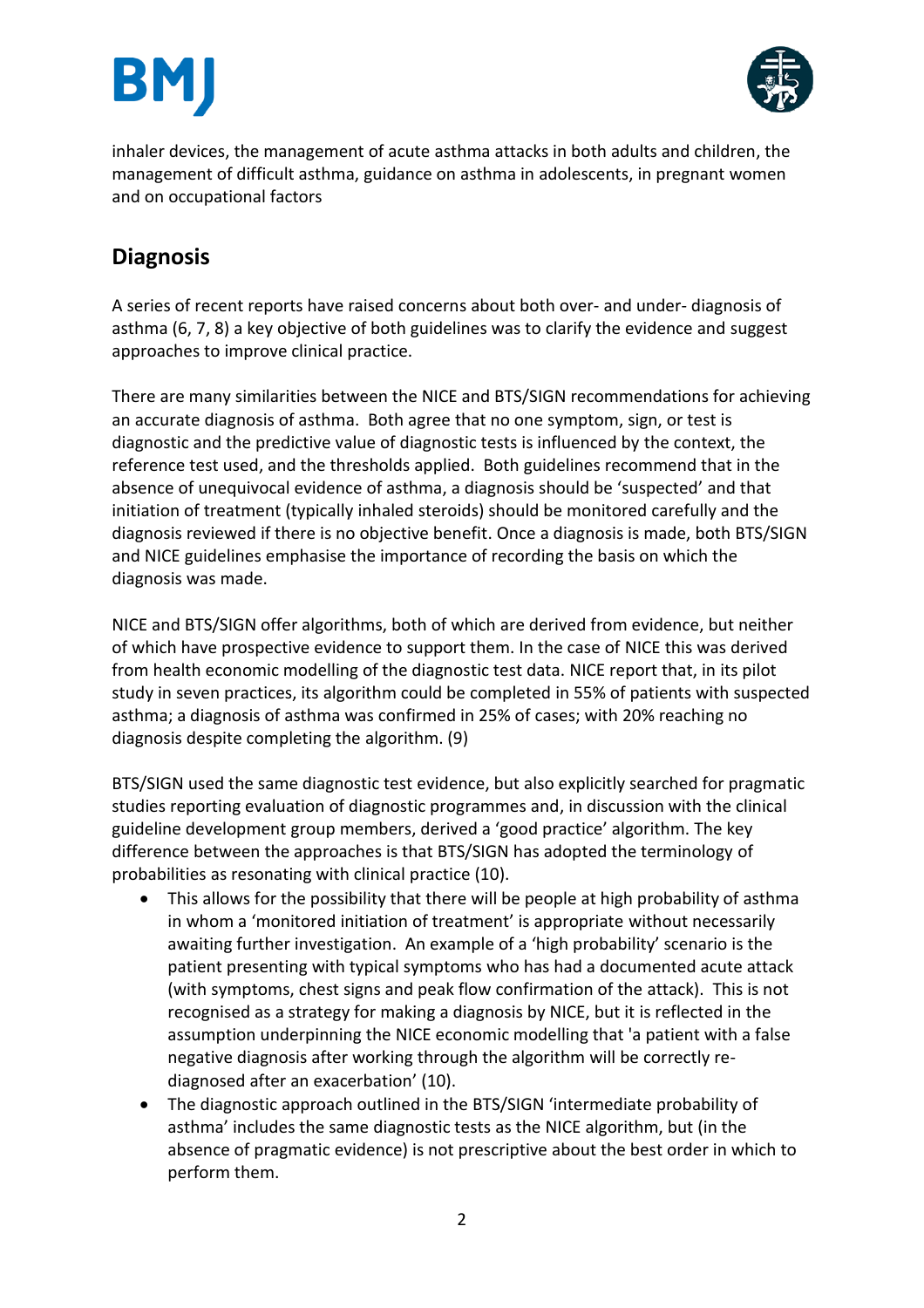



inhaler devices, the management of acute asthma attacks in both adults and children, the management of difficult asthma, guidance on asthma in adolescents, in pregnant women and on occupational factors

# **Diagnosis**

A series of recent reports have raised concerns about both over- and under- diagnosis of asthma (6, 7, 8) a key objective of both guidelines was to clarify the evidence and suggest approaches to improve clinical practice.

There are many similarities between the NICE and BTS/SIGN recommendations for achieving an accurate diagnosis of asthma. Both agree that no one symptom, sign, or test is diagnostic and the predictive value of diagnostic tests is influenced by the context, the reference test used, and the thresholds applied. Both guidelines recommend that in the absence of unequivocal evidence of asthma, a diagnosis should be 'suspected' and that initiation of treatment (typically inhaled steroids) should be monitored carefully and the diagnosis reviewed if there is no objective benefit. Once a diagnosis is made, both BTS/SIGN and NICE guidelines emphasise the importance of recording the basis on which the diagnosis was made.

NICE and BTS/SIGN offer algorithms, both of which are derived from evidence, but neither of which have prospective evidence to support them. In the case of NICE this was derived from health economic modelling of the diagnostic test data. NICE report that, in its pilot study in seven practices, its algorithm could be completed in 55% of patients with suspected asthma; a diagnosis of asthma was confirmed in 25% of cases; with 20% reaching no diagnosis despite completing the algorithm. (9)

BTS/SIGN used the same diagnostic test evidence, but also explicitly searched for pragmatic studies reporting evaluation of diagnostic programmes and, in discussion with the clinical guideline development group members, derived a 'good practice' algorithm. The key difference between the approaches is that BTS/SIGN has adopted the terminology of probabilities as resonating with clinical practice (10).

- This allows for the possibility that there will be people at high probability of asthma in whom a 'monitored initiation of treatment' is appropriate without necessarily awaiting further investigation. An example of a 'high probability' scenario is the patient presenting with typical symptoms who has had a documented acute attack (with symptoms, chest signs and peak flow confirmation of the attack). This is not recognised as a strategy for making a diagnosis by NICE, but it is reflected in the assumption underpinning the NICE economic modelling that 'a patient with a false negative diagnosis after working through the algorithm will be correctly rediagnosed after an exacerbation' (10).
- The diagnostic approach outlined in the BTS/SIGN 'intermediate probability of asthma' includes the same diagnostic tests as the NICE algorithm, but (in the absence of pragmatic evidence) is not prescriptive about the best order in which to perform them.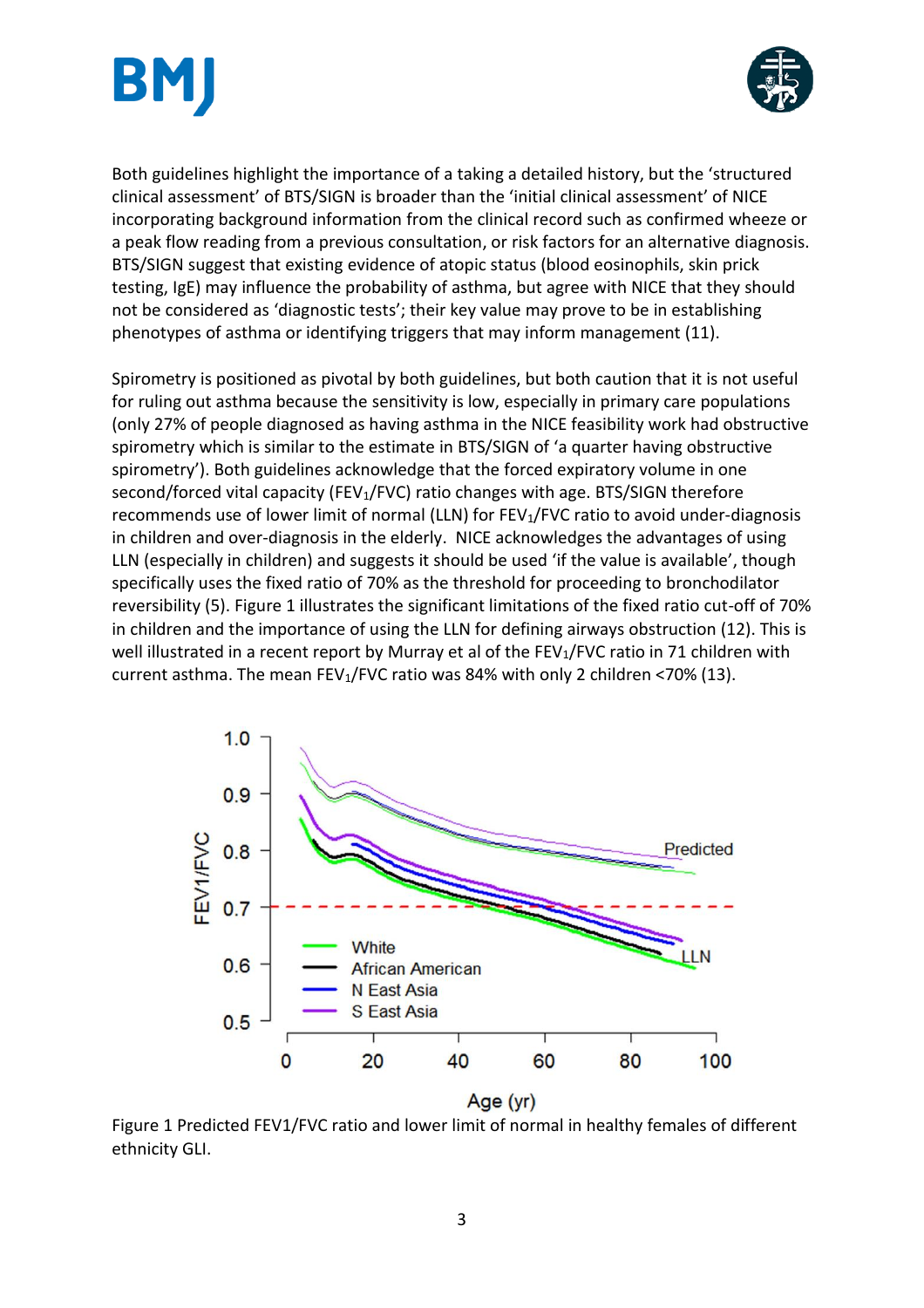



Both guidelines highlight the importance of a taking a detailed history, but the 'structured clinical assessment' of BTS/SIGN is broader than the 'initial clinical assessment' of NICE incorporating background information from the clinical record such as confirmed wheeze or a peak flow reading from a previous consultation, or risk factors for an alternative diagnosis. BTS/SIGN suggest that existing evidence of atopic status (blood eosinophils, skin prick testing, IgE) may influence the probability of asthma, but agree with NICE that they should not be considered as 'diagnostic tests'; their key value may prove to be in establishing phenotypes of asthma or identifying triggers that may inform management (11).

Spirometry is positioned as pivotal by both guidelines, but both caution that it is not useful for ruling out asthma because the sensitivity is low, especially in primary care populations (only 27% of people diagnosed as having asthma in the NICE feasibility work had obstructive spirometry which is similar to the estimate in BTS/SIGN of 'a quarter having obstructive spirometry'). Both guidelines acknowledge that the forced expiratory volume in one second/forced vital capacity (FEV<sub>1</sub>/FVC) ratio changes with age. BTS/SIGN therefore recommends use of lower limit of normal (LLN) for FEV<sub>1</sub>/FVC ratio to avoid under-diagnosis in children and over-diagnosis in the elderly. NICE acknowledges the advantages of using LLN (especially in children) and suggests it should be used 'if the value is available', though specifically uses the fixed ratio of 70% as the threshold for proceeding to bronchodilator reversibility (5). Figure 1 illustrates the significant limitations of the fixed ratio cut-off of 70% in children and the importance of using the LLN for defining airways obstruction (12). This is well illustrated in a recent report by Murray et al of the FEV<sub>1</sub>/FVC ratio in 71 children with current asthma. The mean FEV<sub>1</sub>/FVC ratio was 84% with only 2 children <70% (13).



Figure 1 Predicted FEV1/FVC ratio and lower limit of normal in healthy females of different ethnicity GLI.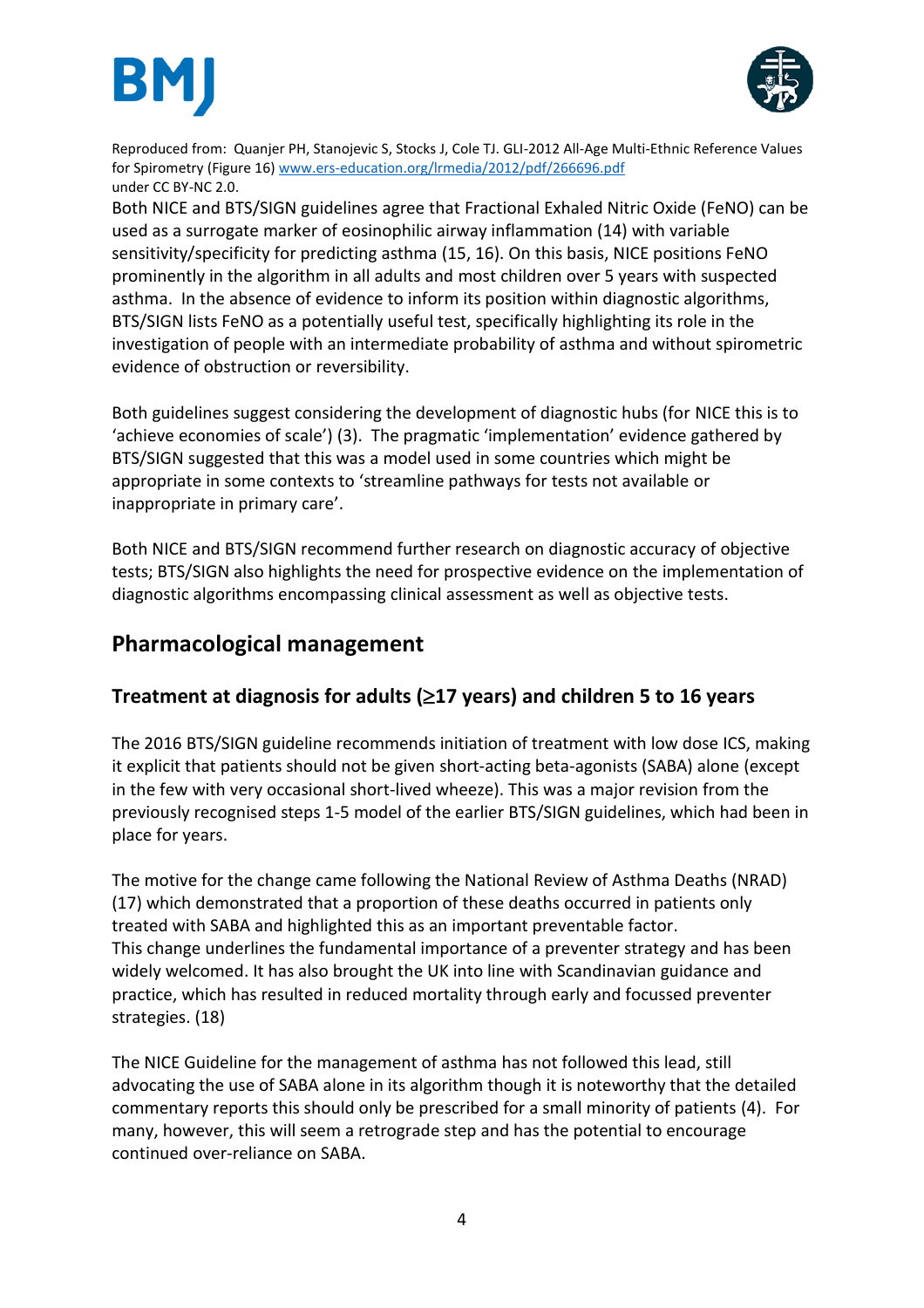



Reproduced from: Quanjer PH, Stanojevic S, Stocks J, Cole TJ. GLI-2012 All-Age Multi-Ethnic Reference Values for Spirometry (Figure 16) [www.ers-education.org/lrmedia/2012/pdf/266696.pdf](http://www.ers-education.org/lrmedia/2012/pdf/266696.pdf) under CC BY-NC 2.0.

Both NICE and BTS/SIGN guidelines agree that Fractional Exhaled Nitric Oxide (FeNO) can be used as a surrogate marker of eosinophilic airway inflammation (14) with variable sensitivity/specificity for predicting asthma (15, 16). On this basis, NICE positions FeNO prominently in the algorithm in all adults and most children over 5 years with suspected asthma. In the absence of evidence to inform its position within diagnostic algorithms, BTS/SIGN lists FeNO as a potentially useful test, specifically highlighting its role in the investigation of people with an intermediate probability of asthma and without spirometric evidence of obstruction or reversibility.

Both guidelines suggest considering the development of diagnostic hubs (for NICE this is to 'achieve economies of scale') (3). The pragmatic 'implementation' evidence gathered by BTS/SIGN suggested that this was a model used in some countries which might be appropriate in some contexts to 'streamline pathways for tests not available or inappropriate in primary care'.

Both NICE and BTS/SIGN recommend further research on diagnostic accuracy of objective tests; BTS/SIGN also highlights the need for prospective evidence on the implementation of diagnostic algorithms encompassing clinical assessment as well as objective tests.

# **Pharmacological management**

# **Treatment at diagnosis for adults (17 years) and children 5 to 16 years**

The 2016 BTS/SIGN guideline recommends initiation of treatment with low dose ICS, making it explicit that patients should not be given short-acting beta-agonists (SABA) alone (except in the few with very occasional short-lived wheeze). This was a major revision from the previously recognised steps 1-5 model of the earlier BTS/SIGN guidelines, which had been in place for years.

The motive for the change came following the National Review of Asthma Deaths (NRAD) (17) which demonstrated that a proportion of these deaths occurred in patients only treated with SABA and highlighted this as an important preventable factor. This change underlines the fundamental importance of a preventer strategy and has been widely welcomed. It has also brought the UK into line with Scandinavian guidance and practice, which has resulted in reduced mortality through early and focussed preventer strategies. (18)

The NICE Guideline for the management of asthma has not followed this lead, still advocating the use of SABA alone in its algorithm though it is noteworthy that the detailed commentary reports this should only be prescribed for a small minority of patients (4). For many, however, this will seem a retrograde step and has the potential to encourage continued over-reliance on SABA.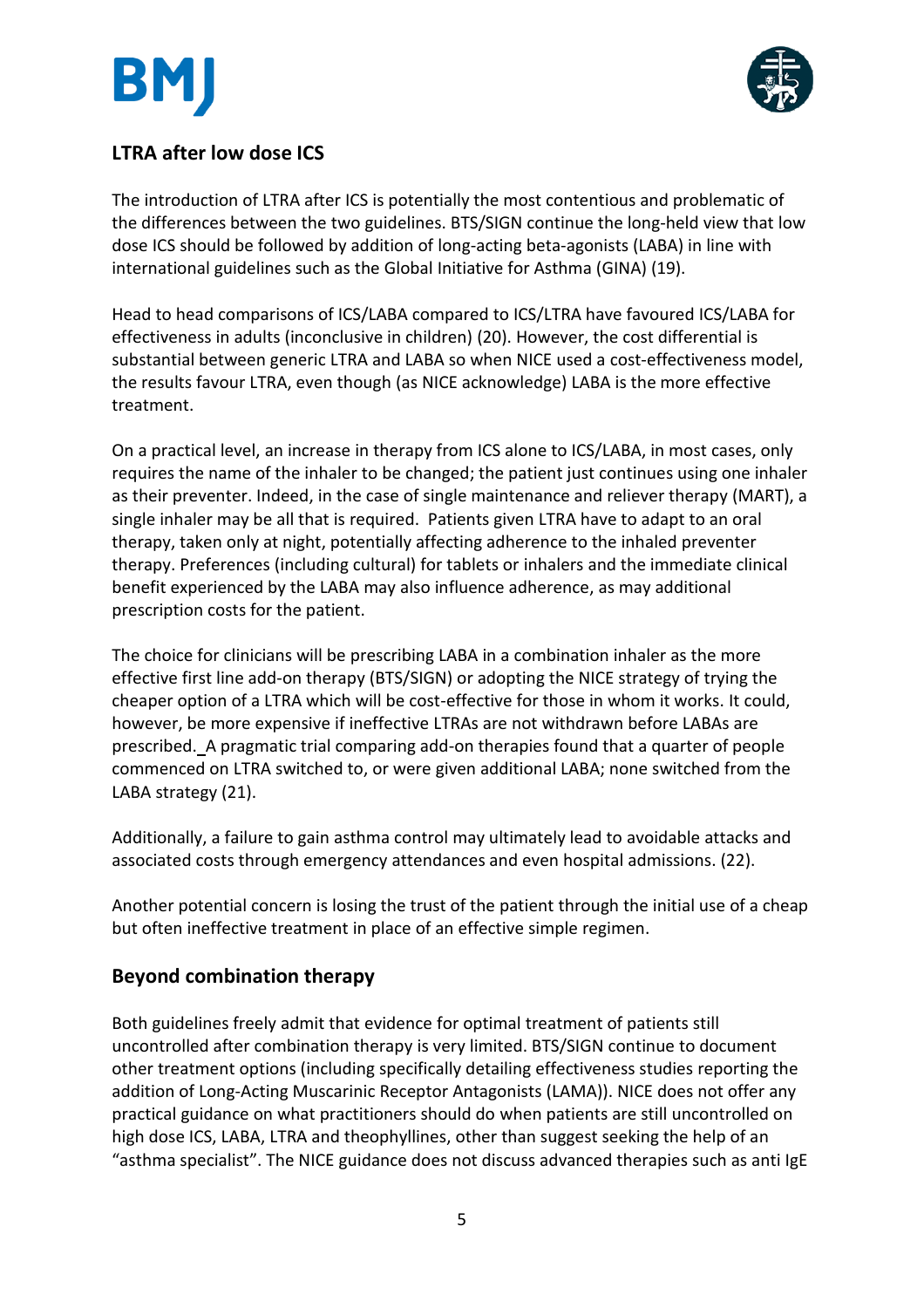

# **LTRA after low dose ICS**

The introduction of LTRA after ICS is potentially the most contentious and problematic of the differences between the two guidelines. BTS/SIGN continue the long-held view that low dose ICS should be followed by addition of long-acting beta-agonists (LABA) in line with international guidelines such as the Global Initiative for Asthma (GINA) (19).

Head to head comparisons of ICS/LABA compared to ICS/LTRA have favoured ICS/LABA for effectiveness in adults (inconclusive in children) (20). However, the cost differential is substantial between generic LTRA and LABA so when NICE used a cost-effectiveness model, the results favour LTRA, even though (as NICE acknowledge) LABA is the more effective treatment.

On a practical level, an increase in therapy from ICS alone to ICS/LABA, in most cases, only requires the name of the inhaler to be changed; the patient just continues using one inhaler as their preventer. Indeed, in the case of single maintenance and reliever therapy (MART), a single inhaler may be all that is required. Patients given LTRA have to adapt to an oral therapy, taken only at night, potentially affecting adherence to the inhaled preventer therapy. Preferences (including cultural) for tablets or inhalers and the immediate clinical benefit experienced by the LABA may also influence adherence, as may additional prescription costs for the patient.

The choice for clinicians will be prescribing LABA in a combination inhaler as the more effective first line add-on therapy (BTS/SIGN) or adopting the NICE strategy of trying the cheaper option of a LTRA which will be cost-effective for those in whom it works. It could, however, be more expensive if ineffective LTRAs are not withdrawn before LABAs are prescribed. A pragmatic trial comparing add-on therapies found that a quarter of people commenced on LTRA switched to, or were given additional LABA; none switched from the LABA strategy (21).

Additionally, a failure to gain asthma control may ultimately lead to avoidable attacks and associated costs through emergency attendances and even hospital admissions. (22).

Another potential concern is losing the trust of the patient through the initial use of a cheap but often ineffective treatment in place of an effective simple regimen.

# **Beyond combination therapy**

Both guidelines freely admit that evidence for optimal treatment of patients still uncontrolled after combination therapy is very limited. BTS/SIGN continue to document other treatment options (including specifically detailing effectiveness studies reporting the addition of Long-Acting Muscarinic Receptor Antagonists (LAMA)). NICE does not offer any practical guidance on what practitioners should do when patients are still uncontrolled on high dose ICS, LABA, LTRA and theophyllines, other than suggest seeking the help of an "asthma specialist". The NICE guidance does not discuss advanced therapies such as anti IgE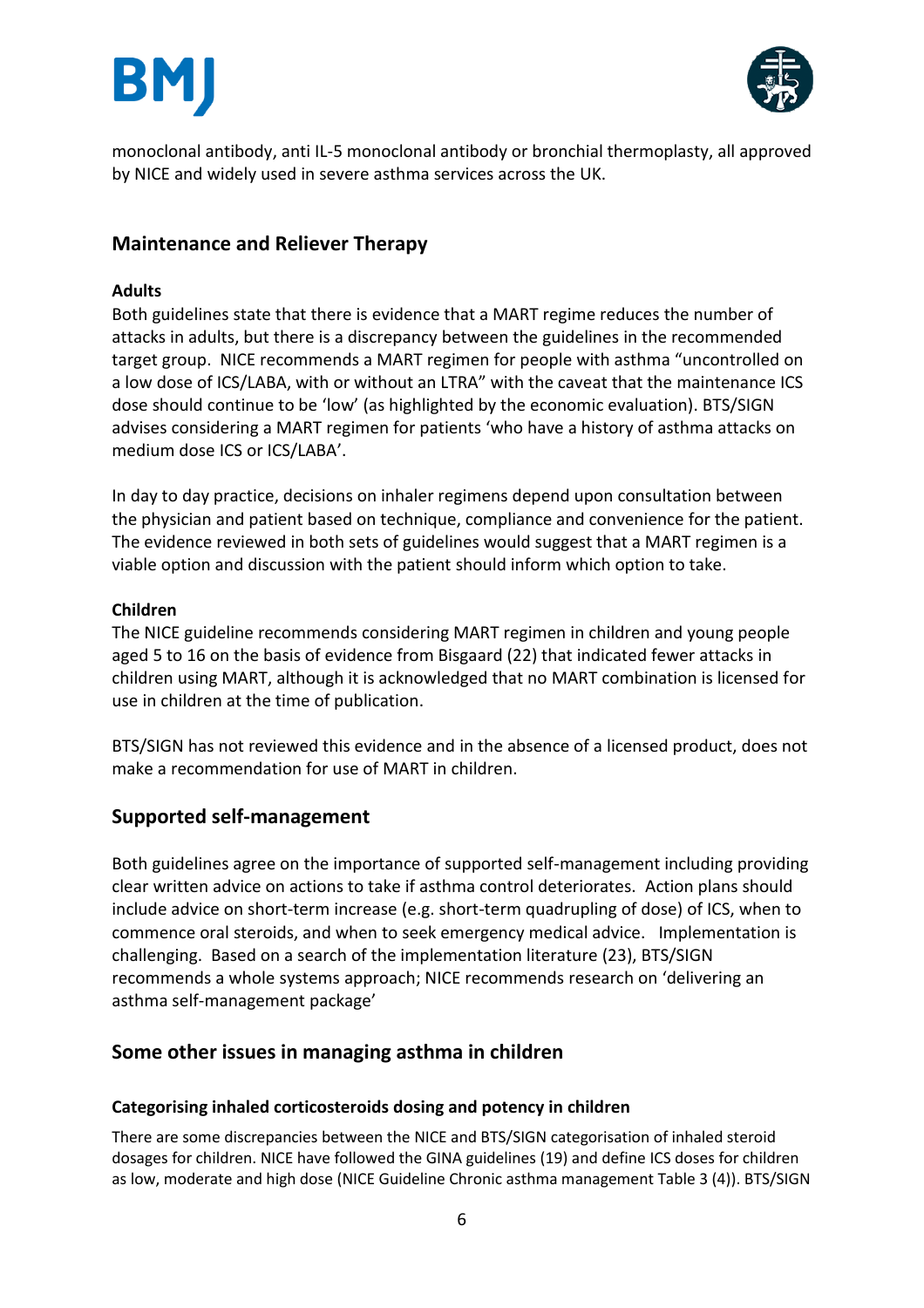



monoclonal antibody, anti IL-5 monoclonal antibody or bronchial thermoplasty, all approved by NICE and widely used in severe asthma services across the UK.

## **Maintenance and Reliever Therapy**

#### **Adults**

Both guidelines state that there is evidence that a MART regime reduces the number of attacks in adults, but there is a discrepancy between the guidelines in the recommended target group. NICE recommends a MART regimen for people with asthma "uncontrolled on a low dose of ICS/LABA, with or without an LTRA" with the caveat that the maintenance ICS dose should continue to be 'low' (as highlighted by the economic evaluation). BTS/SIGN advises considering a MART regimen for patients 'who have a history of asthma attacks on medium dose ICS or ICS/LABA'.

In day to day practice, decisions on inhaler regimens depend upon consultation between the physician and patient based on technique, compliance and convenience for the patient. The evidence reviewed in both sets of guidelines would suggest that a MART regimen is a viable option and discussion with the patient should inform which option to take.

#### **Children**

The NICE guideline recommends considering MART regimen in children and young people aged 5 to 16 on the basis of evidence from Bisgaard (22) that indicated fewer attacks in children using MART, although it is acknowledged that no MART combination is licensed for use in children at the time of publication.

BTS/SIGN has not reviewed this evidence and in the absence of a licensed product, does not make a recommendation for use of MART in children.

## **Supported self-management**

Both guidelines agree on the importance of supported self-management including providing clear written advice on actions to take if asthma control deteriorates. Action plans should include advice on short-term increase (e.g. short-term quadrupling of dose) of ICS, when to commence oral steroids, and when to seek emergency medical advice. Implementation is challenging. Based on a search of the implementation literature (23), BTS/SIGN recommends a whole systems approach; NICE recommends research on 'delivering an asthma self-management package'

## **Some other issues in managing asthma in children**

#### **Categorising inhaled corticosteroids dosing and potency in children**

There are some discrepancies between the NICE and BTS/SIGN categorisation of inhaled steroid dosages for children. NICE have followed the GINA guidelines (19) and define ICS doses for children as low, moderate and high dose (NICE Guideline Chronic asthma management Table 3 (4)). BTS/SIGN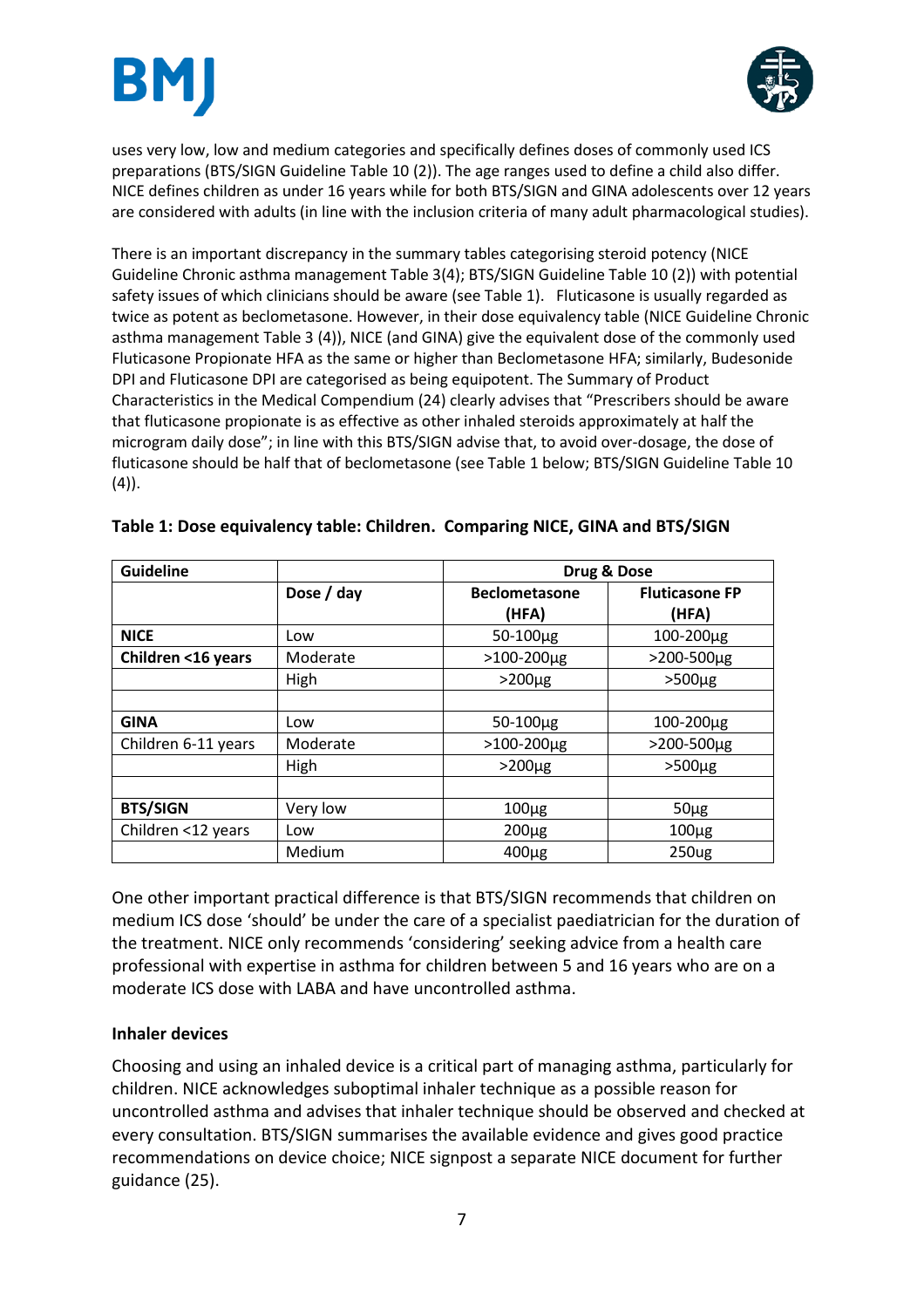



uses very low, low and medium categories and specifically defines doses of commonly used ICS preparations (BTS/SIGN Guideline Table 10 (2)). The age ranges used to define a child also differ. NICE defines children as under 16 years while for both BTS/SIGN and GINA adolescents over 12 years are considered with adults (in line with the inclusion criteria of many adult pharmacological studies).

There is an important discrepancy in the summary tables categorising steroid potency (NICE Guideline Chronic asthma management Table 3(4); BTS/SIGN Guideline Table 10 (2)) with potential safety issues of which clinicians should be aware (see Table 1). Fluticasone is usually regarded as twice as potent as beclometasone. However, in their dose equivalency table (NICE Guideline Chronic asthma management Table 3 (4)), NICE (and GINA) give the equivalent dose of the commonly used Fluticasone Propionate HFA as the same or higher than Beclometasone HFA; similarly, Budesonide DPI and Fluticasone DPI are categorised as being equipotent. The Summary of Product Characteristics in the Medical Compendium (24) clearly advises that "Prescribers should be aware that fluticasone propionate is as effective as other inhaled steroids approximately at half the microgram daily dose"; in line with this BTS/SIGN advise that, to avoid over-dosage, the dose of fluticasone should be half that of beclometasone (see Table 1 below; BTS/SIGN Guideline Table 10  $(4)$ ).

| <b>Guideline</b>    |            | Drug & Dose          |                       |
|---------------------|------------|----------------------|-----------------------|
|                     | Dose / day | <b>Beclometasone</b> | <b>Fluticasone FP</b> |
|                     |            | (HFA)                | (HFA)                 |
| <b>NICE</b>         | Low        | $50 - 100 \mu g$     | 100-200µg             |
| Children <16 years  | Moderate   | $>100-200 \mu g$     | >200-500µg            |
|                     | High       | $>200 \mu g$         | $>500\mu g$           |
|                     |            |                      |                       |
| <b>GINA</b>         | Low        | 50-100µg             | 100-200µg             |
| Children 6-11 years | Moderate   | $>100-200 \mu g$     | >200-500µg            |
|                     | High       | $>200 \mu g$         | $>500 \mu g$          |
|                     |            |                      |                       |
| <b>BTS/SIGN</b>     | Very low   | $100\mug$            | $50 \mu g$            |
| Children <12 years  | Low        | $200\mug$            | $100\mug$             |
|                     | Medium     | $400\mug$            | <b>250ug</b>          |

| Table 1: Dose equivalency table: Children. Comparing NICE, GINA and BTS/SIGN |  |
|------------------------------------------------------------------------------|--|
|------------------------------------------------------------------------------|--|

One other important practical difference is that BTS/SIGN recommends that children on medium ICS dose 'should' be under the care of a specialist paediatrician for the duration of the treatment. NICE only recommends 'considering' seeking advice from a health care professional with expertise in asthma for children between 5 and 16 years who are on a moderate ICS dose with LABA and have uncontrolled asthma.

## **Inhaler devices**

Choosing and using an inhaled device is a critical part of managing asthma, particularly for children. NICE acknowledges suboptimal inhaler technique as a possible reason for uncontrolled asthma and advises that inhaler technique should be observed and checked at every consultation. BTS/SIGN summarises the available evidence and gives good practice recommendations on device choice; NICE signpost a separate NICE document for further guidance (25).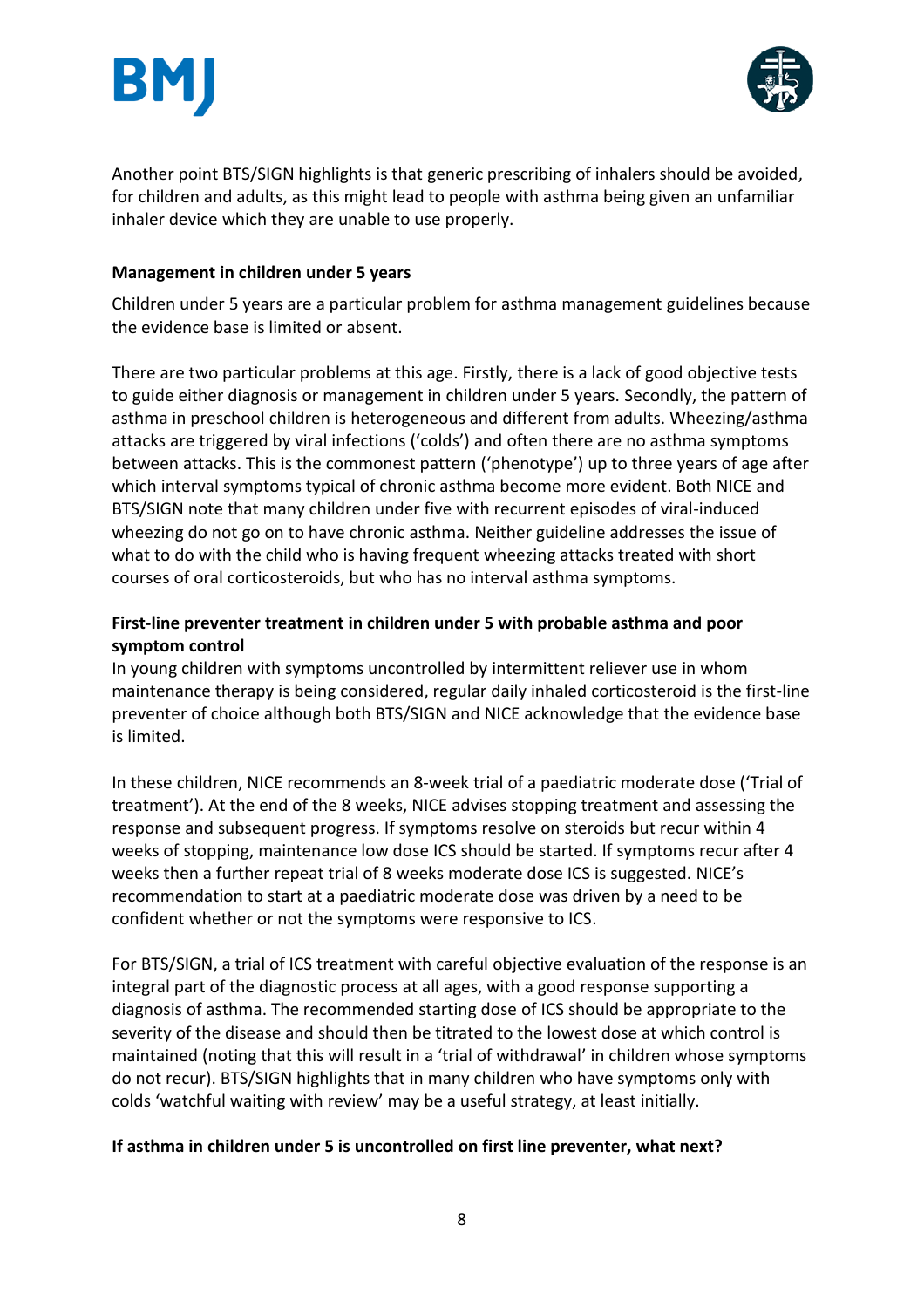



Another point BTS/SIGN highlights is that generic prescribing of inhalers should be avoided, for children and adults, as this might lead to people with asthma being given an unfamiliar inhaler device which they are unable to use properly.

### **Management in children under 5 years**

Children under 5 years are a particular problem for asthma management guidelines because the evidence base is limited or absent.

There are two particular problems at this age. Firstly, there is a lack of good objective tests to guide either diagnosis or management in children under 5 years. Secondly, the pattern of asthma in preschool children is heterogeneous and different from adults. Wheezing/asthma attacks are triggered by viral infections ('colds') and often there are no asthma symptoms between attacks. This is the commonest pattern ('phenotype') up to three years of age after which interval symptoms typical of chronic asthma become more evident. Both NICE and BTS/SIGN note that many children under five with recurrent episodes of viral-induced wheezing do not go on to have chronic asthma. Neither guideline addresses the issue of what to do with the child who is having frequent wheezing attacks treated with short courses of oral corticosteroids, but who has no interval asthma symptoms.

## **First-line preventer treatment in children under 5 with probable asthma and poor symptom control**

In young children with symptoms uncontrolled by intermittent reliever use in whom maintenance therapy is being considered, regular daily inhaled corticosteroid is the first-line preventer of choice although both BTS/SIGN and NICE acknowledge that the evidence base is limited.

In these children, NICE recommends an 8-week trial of a paediatric moderate dose ('Trial of treatment'). At the end of the 8 weeks, NICE advises stopping treatment and assessing the response and subsequent progress. If symptoms resolve on steroids but recur within 4 weeks of stopping, maintenance low dose ICS should be started. If symptoms recur after 4 weeks then a further repeat trial of 8 weeks moderate dose ICS is suggested. NICE's recommendation to start at a paediatric moderate dose was driven by a need to be confident whether or not the symptoms were responsive to ICS.

For BTS/SIGN, a trial of ICS treatment with careful objective evaluation of the response is an integral part of the diagnostic process at all ages, with a good response supporting a diagnosis of asthma. The recommended starting dose of ICS should be appropriate to the severity of the disease and should then be titrated to the lowest dose at which control is maintained (noting that this will result in a 'trial of withdrawal' in children whose symptoms do not recur). BTS/SIGN highlights that in many children who have symptoms only with colds 'watchful waiting with review' may be a useful strategy, at least initially.

#### **If asthma in children under 5 is uncontrolled on first line preventer, what next?**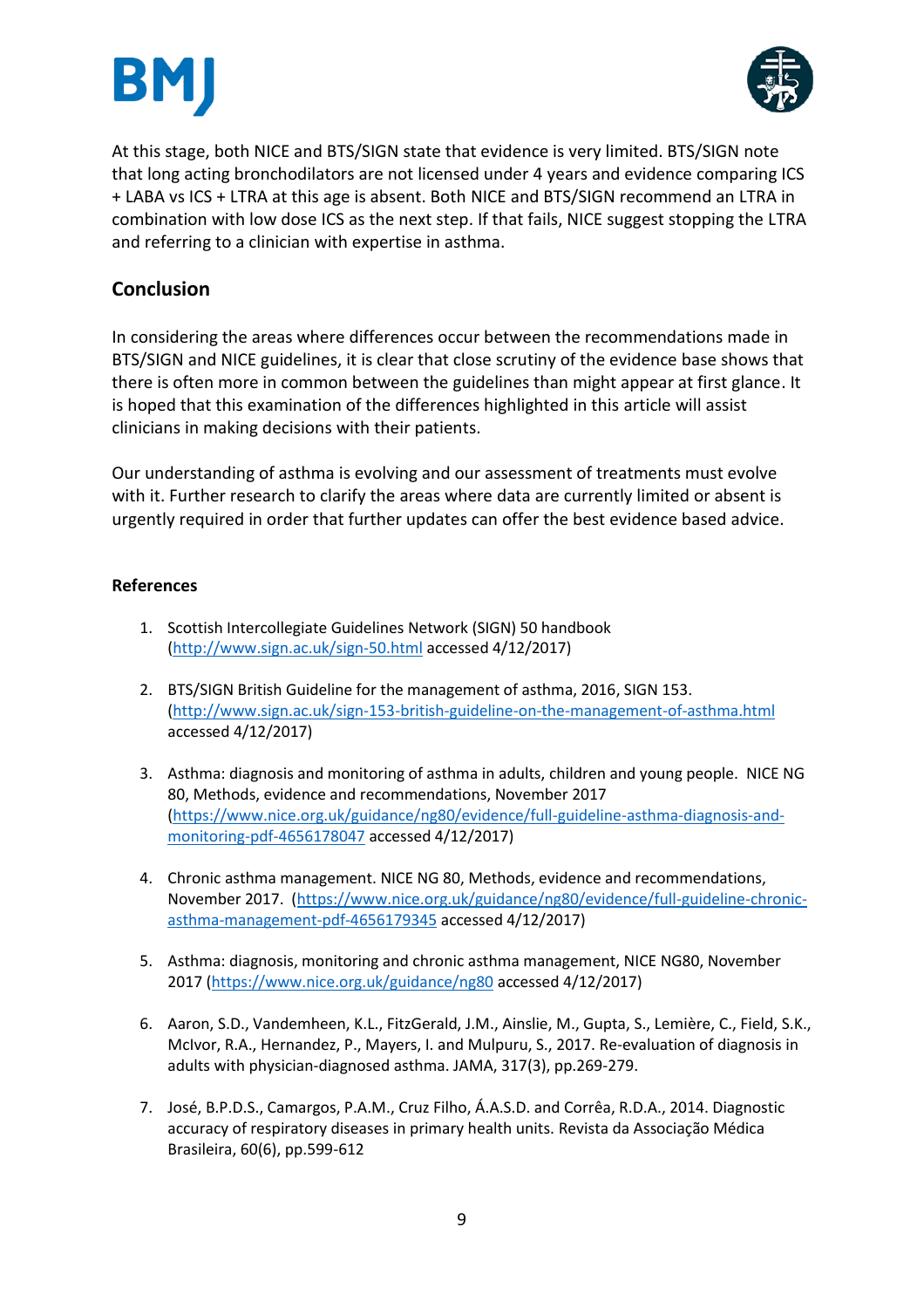



At this stage, both NICE and BTS/SIGN state that evidence is very limited. BTS/SIGN note that long acting bronchodilators are not licensed under 4 years and evidence comparing ICS + LABA vs ICS + LTRA at this age is absent. Both NICE and BTS/SIGN recommend an LTRA in combination with low dose ICS as the next step. If that fails, NICE suggest stopping the LTRA and referring to a clinician with expertise in asthma.

# **Conclusion**

In considering the areas where differences occur between the recommendations made in BTS/SIGN and NICE guidelines, it is clear that close scrutiny of the evidence base shows that there is often more in common between the guidelines than might appear at first glance. It is hoped that this examination of the differences highlighted in this article will assist clinicians in making decisions with their patients.

Our understanding of asthma is evolving and our assessment of treatments must evolve with it. Further research to clarify the areas where data are currently limited or absent is urgently required in order that further updates can offer the best evidence based advice.

#### **References**

- 1. Scottish Intercollegiate Guidelines Network (SIGN) 50 handbook [\(http://www.sign.ac.uk/sign-50.html](http://www.sign.ac.uk/sign-50.html) accessed 4/12/2017)
- 2. BTS/SIGN British Guideline for the management of asthma, 2016, SIGN 153. [\(http://www.sign.ac.uk/sign-153-british-guideline-on-the-management-of-asthma.html](http://www.sign.ac.uk/sign-153-british-guideline-on-the-management-of-asthma.html) accessed 4/12/2017)
- 3. Asthma: diagnosis and monitoring of asthma in adults, children and young people. NICE NG 80, Methods, evidence and recommendations, November 2017 [\(https://www.nice.org.uk/guidance/ng80/evidence/full-guideline-asthma-diagnosis-and](https://www.nice.org.uk/guidance/ng80/evidence/full-guideline-asthma-diagnosis-and-monitoring-pdf-4656178047)[monitoring-pdf-4656178047](https://www.nice.org.uk/guidance/ng80/evidence/full-guideline-asthma-diagnosis-and-monitoring-pdf-4656178047) accessed 4/12/2017)
- 4. Chronic asthma management. NICE NG 80, Methods, evidence and recommendations, November 2017. [\(https://www.nice.org.uk/guidance/ng80/evidence/full-guideline-chronic](https://www.nice.org.uk/guidance/ng80/evidence/full-guideline-chronic-asthma-management-pdf-4656179345)[asthma-management-pdf-4656179345](https://www.nice.org.uk/guidance/ng80/evidence/full-guideline-chronic-asthma-management-pdf-4656179345) accessed 4/12/2017)
- 5. Asthma: diagnosis, monitoring and chronic asthma management, NICE NG80, November 2017 [\(https://www.nice.org.uk/guidance/ng80](https://www.nice.org.uk/guidance/ng80) accessed 4/12/2017)
- 6. Aaron, S.D., Vandemheen, K.L., FitzGerald, J.M., Ainslie, M., Gupta, S., Lemière, C., Field, S.K., McIvor, R.A., Hernandez, P., Mayers, I. and Mulpuru, S., 2017. Re-evaluation of diagnosis in adults with physician-diagnosed asthma. JAMA, 317(3), pp.269-279.
- 7. José, B.P.D.S., Camargos, P.A.M., Cruz Filho, Á.A.S.D. and Corrêa, R.D.A., 2014. Diagnostic accuracy of respiratory diseases in primary health units. Revista da Associação Médica Brasileira, 60(6), pp.599-612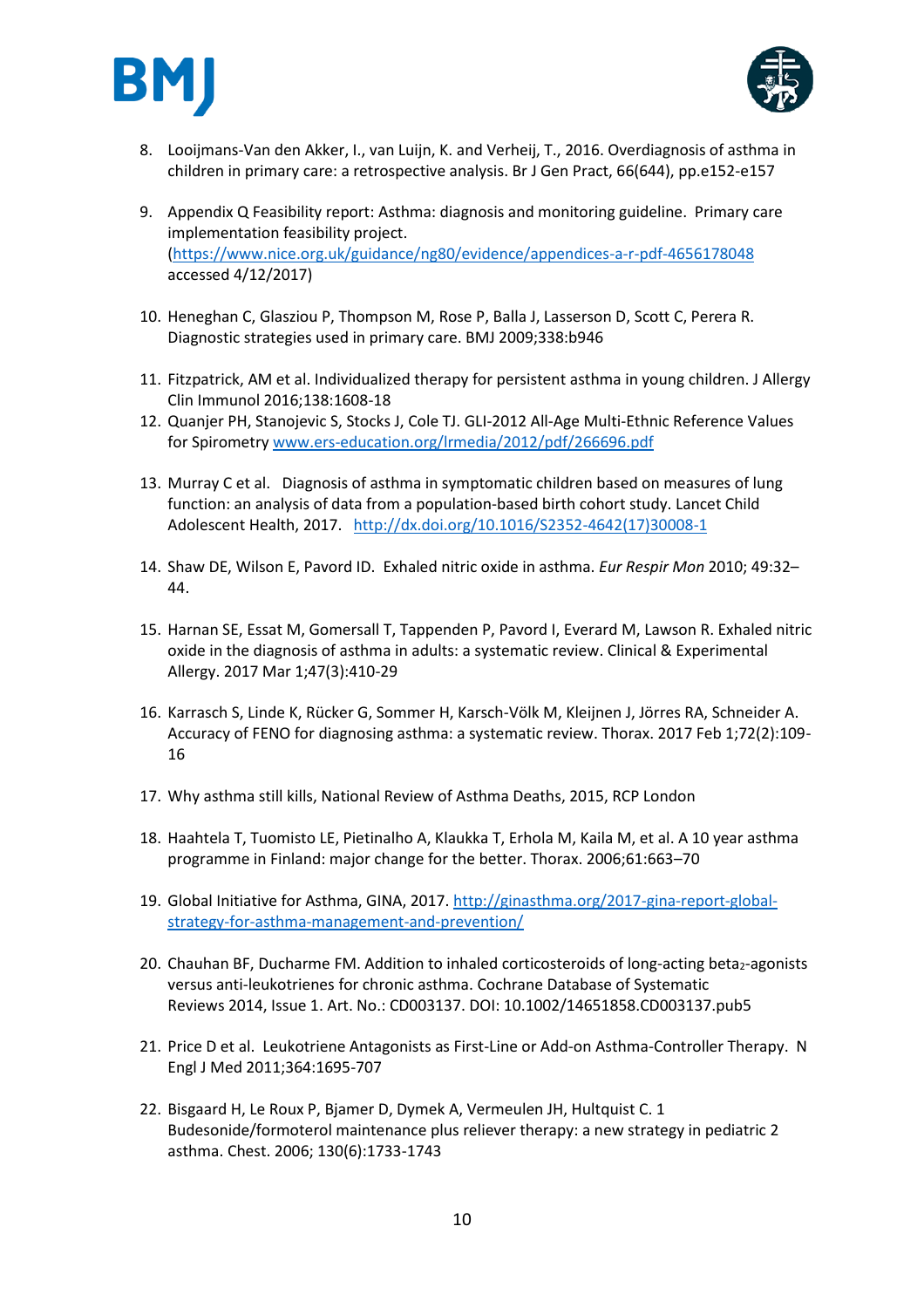



- 8. Looijmans-Van den Akker, I., van Luijn, K. and Verheij, T., 2016. Overdiagnosis of asthma in children in primary care: a retrospective analysis. Br J Gen Pract, 66(644), pp.e152-e157
- 9. Appendix Q Feasibility report: Asthma: diagnosis and monitoring guideline. Primary care implementation feasibility project. [\(https://www.nice.org.uk/guidance/ng80/evidence/appendices-a-r-pdf-4656178048](https://www.nice.org.uk/guidance/ng80/evidence/appendices-a-r-pdf-4656178048) accessed 4/12/2017)
- 10. Heneghan C, Glasziou P, Thompson M, Rose P, Balla J, Lasserson D, Scott C, Perera R. Diagnostic strategies used in primary care. BMJ 2009;338:b946
- 11. Fitzpatrick, AM et al. Individualized therapy for persistent asthma in young children. J Allergy Clin Immunol 2016;138:1608-18
- 12. Quanjer PH, Stanojevic S, Stocks J, Cole TJ. GLI-2012 All-Age Multi-Ethnic Reference Values for Spirometr[y www.ers-education.org/lrmedia/2012/pdf/266696.pdf](http://www.ers-education.org/lrmedia/2012/pdf/266696.pdf)
- 13. Murray C et al. Diagnosis of asthma in symptomatic children based on measures of lung function: an analysis of data from a population-based birth cohort study. Lancet Child Adolescent Health, 2017. [http://dx.doi.org/10.1016/S2352-4642\(17\)30008-1](http://dx.doi.org/10.1016/S2352-4642(17)30008-1)
- 14. Shaw DE, Wilson E, Pavord ID. Exhaled nitric oxide in asthma. *Eur Respir Mon* 2010; 49:32– 44.
- 15. Harnan SE, Essat M, Gomersall T, Tappenden P, Pavord I, Everard M, Lawson R. Exhaled nitric oxide in the diagnosis of asthma in adults: a systematic review. Clinical & Experimental Allergy. 2017 Mar 1;47(3):410-29
- 16. Karrasch S, Linde K, Rücker G, Sommer H, Karsch-Völk M, Kleijnen J, Jörres RA, Schneider A. Accuracy of FENO for diagnosing asthma: a systematic review. Thorax. 2017 Feb 1;72(2):109- 16
- 17. Why asthma still kills, National Review of Asthma Deaths, 2015, RCP London
- 18. Haahtela T, Tuomisto LE, Pietinalho A, Klaukka T, Erhola M, Kaila M, et al. A 10 year asthma programme in Finland: major change for the better. Thorax. 2006;61:663–70
- 19. Global Initiative for Asthma, GINA, 2017. [http://ginasthma.org/2017-gina-report-global](http://ginasthma.org/2017-gina-report-global-strategy-for-asthma-management-and-prevention/)[strategy-for-asthma-management-and-prevention/](http://ginasthma.org/2017-gina-report-global-strategy-for-asthma-management-and-prevention/)
- 20. Chauhan BF, Ducharme FM. Addition to inhaled corticosteroids of long-acting beta<sub>2</sub>-agonists versus anti-leukotrienes for chronic asthma. Cochrane Database of Systematic Reviews 2014, Issue 1. Art. No.: CD003137. DOI: 10.1002/14651858.CD003137.pub5
- 21. Price D et al. Leukotriene Antagonists as First-Line or Add-on Asthma-Controller Therapy. N Engl J Med 2011;364:1695-707
- 22. Bisgaard H, Le Roux P, Bjamer D, Dymek A, Vermeulen JH, Hultquist C. 1 Budesonide/formoterol maintenance plus reliever therapy: a new strategy in pediatric 2 asthma. Chest. 2006; 130(6):1733-1743